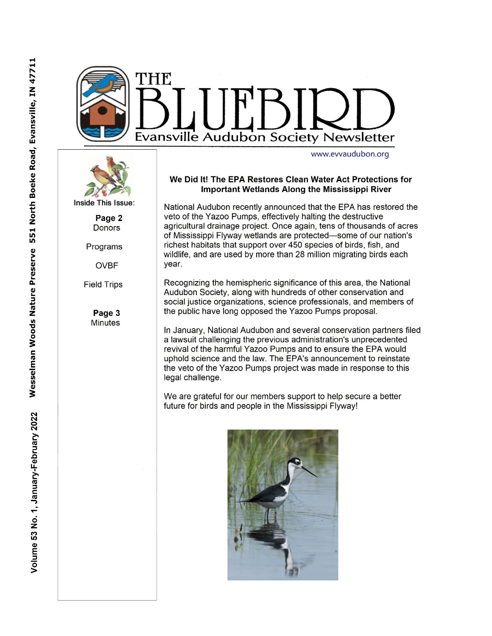



Inside This Issue:

Page 2 **Donors** 

Programs

**OVBF** 

**Field Trips** 

Page 3 **Minutes** 

#### We Did It! The EPA Restores Clean Water Act Protections for **Important Wetlands Along the Mississippi River**

National Audubon recently announced that the EPA has restored the veto of the Yazoo Pumps, effectively halting the destructive agricultural drainage project. Once again, tens of thousands of acres of Mississippi Flyway wetlands are protected-some of our nation's richest habitats that support over 450 species of birds, fish, and wildlife, and are used by more than 28 million migrating birds each vear.

Recognizing the hemispheric significance of this area, the National Audubon Society, along with hundreds of other conservation and social justice organizations, science professionals, and members of the public have long opposed the Yazoo Pumps proposal.

In January, National Audubon and several conservation partners filed a lawsuit challenging the previous administration's unprecedented revival of the harmful Yazoo Pumps and to ensure the EPA would uphold science and the law. The EPA's announcement to reinstate the veto of the Yazoo Pumps project was made in response to this legal challenge.

We are grateful for our members support to help secure a better future for birds and people in the Mississippi Flyway!

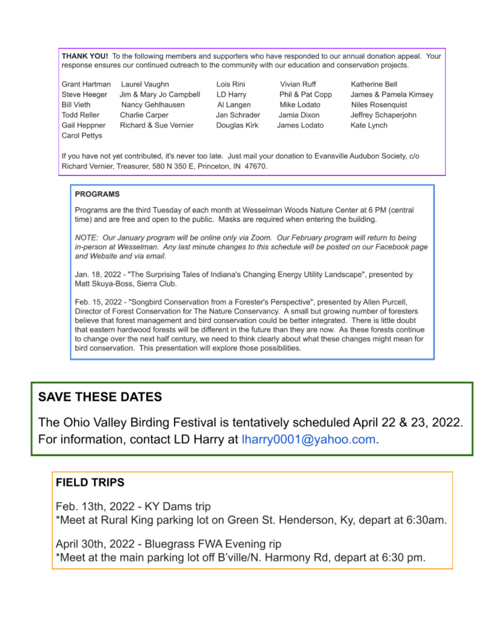THANK YOU! To the following members and supporters who have responded to our annual donation appeal. Your response ensures our continued outreach to the community with our education and conservation projects.

Grant Hartman Steve Heeger **Bill Vieth Todd Reller** Gail Heppner Carol Pettys

Laurel Vaughn Jim & Mary Jo Campbell Nancy Gehlhausen Charlie Carper Richard & Sue Vernier

Lois Rini LD Harry Al Langen Jan Schrader Douglas Kirk

Vivian Ruff Phil & Pat Copp Mike Lodato Jamia Dixon James Lodato

Katherine Bell James & Pamela Kimsey Niles Rosenquist Jeffrey Schaperjohn Kate Lynch

If you have not yet contributed, it's never too late. Just mail your donation to Evansville Audubon Society, c/o Richard Vernier, Treasurer, 580 N 350 E, Princeton, IN 47670.

### **PROGRAMS**

Programs are the third Tuesday of each month at Wesselman Woods Nature Center at 6 PM (central time) and are free and open to the public. Masks are required when entering the building.

NOTE: Our January program will be online only via Zoom. Our February program will return to being in-person at Wesselman. Any last minute changes to this schedule will be posted on our Facebook page and Website and via email.

Jan. 18, 2022 - "The Surprising Tales of Indiana's Changing Energy Utility Landscape", presented by Matt Skuya-Boss, Sierra Club.

Feb. 15, 2022 - "Songbird Conservation from a Forester's Perspective", presented by Allen Purcell, Director of Forest Conservation for The Nature Conservancy. A small but growing number of foresters believe that forest management and bird conservation could be better integrated. There is little doubt that eastern hardwood forests will be different in the future than they are now. As these forests continue to change over the next half century, we need to think clearly about what these changes might mean for bird conservation. This presentation will explore those possibilities.

# **SAVE THESE DATES**

The Ohio Valley Birding Festival is tentatively scheduled April 22 & 23, 2022. For information, contact LD Harry at Iharry0001@yahoo.com.

## **FIELD TRIPS**

Feb. 13th, 2022 - KY Dams trip \*Meet at Rural King parking lot on Green St. Henderson, Ky, depart at 6:30am.

April 30th, 2022 - Bluegrass FWA Evening rip \*Meet at the main parking lot off B'ville/N. Harmony Rd, depart at 6:30 pm.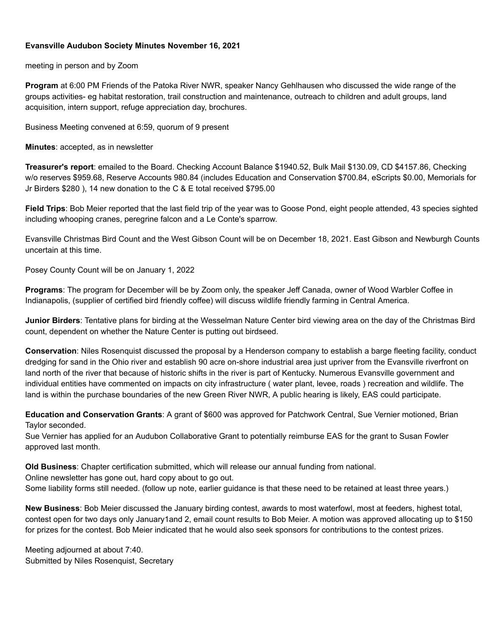### **Evansville Audubon Society Minutes November 16, 2021**

meeting in person and by Zoom

**Program** at 6:00 PM Friends of the Patoka River NWR, speaker Nancy Gehlhausen who discussed the wide range of the groups activities- eg habitat restoration, trail construction and maintenance, outreach to children and adult groups, land acquisition, intern support, refuge appreciation day, brochures.

Business Meeting convened at 6:59, quorum of 9 present

**Minutes**: accepted, as in newsletter

**Treasurer's report**: emailed to the Board. Checking Account Balance \$1940.52, Bulk Mail \$130.09, CD \$4157.86, Checking w/o reserves \$959.68, Reserve Accounts 980.84 (includes Education and Conservation \$700.84, eScripts \$0.00, Memorials for Jr Birders \$280 ), 14 new donation to the C & E total received \$795.00

**Field Trips**: Bob Meier reported that the last field trip of the year was to Goose Pond, eight people attended, 43 species sighted including whooping cranes, peregrine falcon and a Le Conte's sparrow.

Evansville Christmas Bird Count and the West Gibson Count will be on December 18, 2021. East Gibson and Newburgh Counts uncertain at this time.

Posey County Count will be on January 1, 2022

**Programs**: The program for December will be by Zoom only, the speaker Jeff Canada, owner of Wood Warbler Coffee in Indianapolis, (supplier of certified bird friendly coffee) will discuss wildlife friendly farming in Central America.

**Junior Birders**: Tentative plans for birding at the Wesselman Nature Center bird viewing area on the day of the Christmas Bird count, dependent on whether the Nature Center is putting out birdseed.

**Conservation**: Niles Rosenquist discussed the proposal by a Henderson company to establish a barge fleeting facility, conduct dredging for sand in the Ohio river and establish 90 acre on-shore industrial area just upriver from the Evansville riverfront on land north of the river that because of historic shifts in the river is part of Kentucky. Numerous Evansville government and individual entities have commented on impacts on city infrastructure ( water plant, levee, roads ) recreation and wildlife. The land is within the purchase boundaries of the new Green River NWR, A public hearing is likely, EAS could participate.

**Education and Conservation Grants**: A grant of \$600 was approved for Patchwork Central, Sue Vernier motioned, Brian Taylor seconded.

Sue Vernier has applied for an Audubon Collaborative Grant to potentially reimburse EAS for the grant to Susan Fowler approved last month.

**Old Business**: Chapter certification submitted, which will release our annual funding from national. Online newsletter has gone out, hard copy about to go out. Some liability forms still needed. (follow up note, earlier guidance is that these need to be retained at least three years.)

**New Business**: Bob Meier discussed the January birding contest, awards to most waterfowl, most at feeders, highest total, contest open for two days only January1and 2, email count results to Bob Meier. A motion was approved allocating up to \$150 for prizes for the contest. Bob Meier indicated that he would also seek sponsors for contributions to the contest prizes.

Meeting adjourned at about 7:40. Submitted by Niles Rosenquist, Secretary